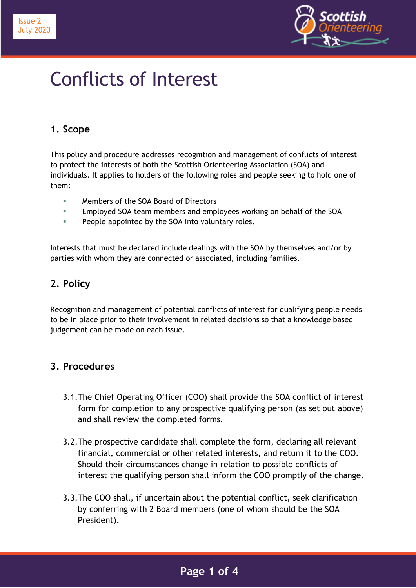



# Conflicts of Interest

## **1. Scope**

This policy and procedure addresses recognition and management of conflicts of interest to protect the interests of both the Scottish Orienteering Association (SOA) and individuals. It applies to holders of the following roles and people seeking to hold one of them:

- **EXECUTE:** Members of the SOA Board of Directors
- Employed SOA team members and employees working on behalf of the SOA
- **People appointed by the SOA into voluntary roles.**

Interests that must be declared include dealings with the SOA by themselves and/or by parties with whom they are connected or associated, including families.

#### **2. Policy**

Recognition and management of potential conflicts of interest for qualifying people needs to be in place prior to their involvement in related decisions so that a knowledge based judgement can be made on each issue.

#### **3. Procedures**

- 3.1.The Chief Operating Officer (COO) shall provide the SOA conflict of interest form for completion to any prospective qualifying person (as set out above) and shall review the completed forms.
- 3.2.The prospective candidate shall complete the form, declaring all relevant financial, commercial or other related interests, and return it to the COO. Should their circumstances change in relation to possible conflicts of interest the qualifying person shall inform the COO promptly of the change.
- 3.3.The COO shall, if uncertain about the potential conflict, seek clarification by conferring with 2 Board members (one of whom should be the SOA President).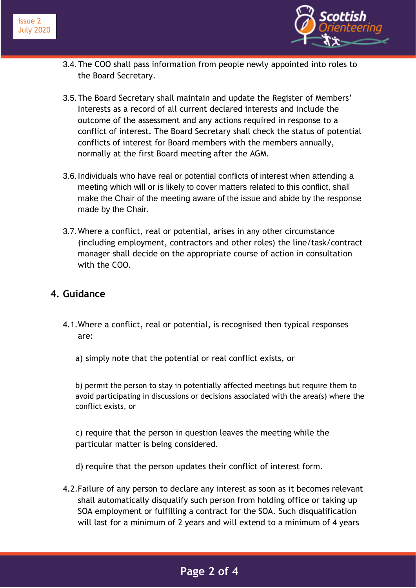

- 3.4.The COO shall pass information from people newly appointed into roles to the Board Secretary.
- 3.5.The Board Secretary shall maintain and update the Register of Members' Interests as a record of all current declared interests and include the outcome of the assessment and any actions required in response to a conflict of interest. The Board Secretary shall check the status of potential conflicts of interest for Board members with the members annually, normally at the first Board meeting after the AGM.
- 3.6.Individuals who have real or potential conflicts of interest when attending a meeting which will or is likely to cover matters related to this conflict, shall make the Chair of the meeting aware of the issue and abide by the response made by the Chair.
- 3.7.Where a conflict, real or potential, arises in any other circumstance (including employment, contractors and other roles) the line/task/contract manager shall decide on the appropriate course of action in consultation with the COO.

#### **4. Guidance**

- 4.1.Where a conflict, real or potential, is recognised then typical responses are:
	- a) simply note that the potential or real conflict exists, or

b) permit the person to stay in potentially affected meetings but require them to avoid participating in discussions or decisions associated with the area(s) where the conflict exists, or

c) require that the person in question leaves the meeting while the particular matter is being considered.

- d) require that the person updates their conflict of interest form.
- 4.2.Failure of any person to declare any interest as soon as it becomes relevant shall automatically disqualify such person from holding office or taking up SOA employment or fulfilling a contract for the SOA. Such disqualification will last for a minimum of 2 years and will extend to a minimum of 4 years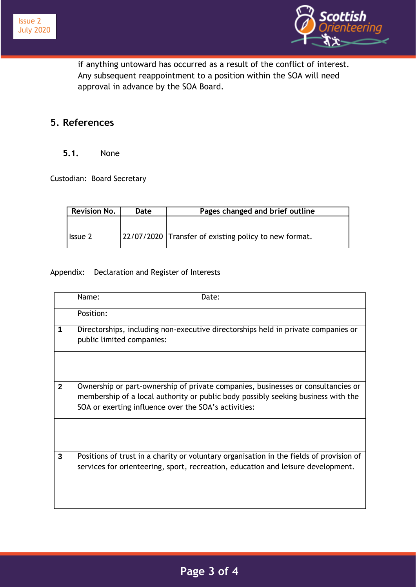



if anything untoward has occurred as a result of the conflict of interest. Any subsequent reappointment to a position within the SOA will need approval in advance by the SOA Board.

### **5. References**

#### **5.1.** None

Custodian: Board Secretary

| <b>Revision No.</b> | Date | Pages changed and brief outline                       |
|---------------------|------|-------------------------------------------------------|
|                     |      |                                                       |
| <b>Issue 2</b>      |      | 22/07/2020 Transfer of existing policy to new format. |

Appendix: Declaration and Register of Interests

|                | Name:<br>Date:                                                                                                                                                                                                                |
|----------------|-------------------------------------------------------------------------------------------------------------------------------------------------------------------------------------------------------------------------------|
|                | Position:                                                                                                                                                                                                                     |
| 1              | Directorships, including non-executive directorships held in private companies or<br>public limited companies:                                                                                                                |
|                |                                                                                                                                                                                                                               |
| $\mathbf{2}$   | Ownership or part-ownership of private companies, businesses or consultancies or<br>membership of a local authority or public body possibly seeking business with the<br>SOA or exerting influence over the SOA's activities: |
|                |                                                                                                                                                                                                                               |
| $\overline{3}$ | Positions of trust in a charity or voluntary organisation in the fields of provision of<br>services for orienteering, sport, recreation, education and leisure development.                                                   |
|                |                                                                                                                                                                                                                               |